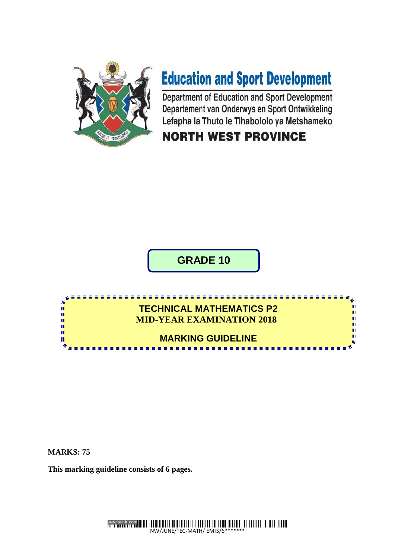

# **Education and Sport Development**

Department of Education and Sport Development Departement van Onderwys en Sport Ontwikkeling Lefapha la Thuto le Tlhabololo ya Metshameko

#### **NORTH WEST PROVINCE**

**GRADE 10**

#### <u>a a a a a a a a</u> **TECHNICAL MATHEMATICS P2** φ ł **MID-YEAR EXAMINATION 2018** n ú, **MARKING GUIDELINE** ú

**MARKS: 75**

**This marking guideline consists of 6 pages.**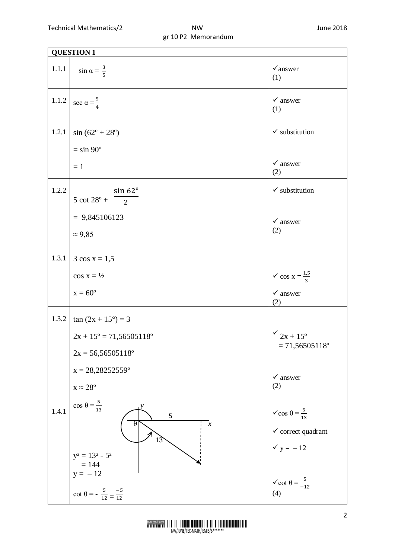| <b>QUESTION 1</b> |                                                                                                                                 |                                                                                                   |  |  |
|-------------------|---------------------------------------------------------------------------------------------------------------------------------|---------------------------------------------------------------------------------------------------|--|--|
| $1.1.1\,$         | $\sin \alpha = \frac{3}{5}$                                                                                                     | $\checkmark$ answer<br>(1)                                                                        |  |  |
| 1.1.2             | sec $\alpha = \frac{5}{4}$                                                                                                      | $\checkmark$ answer<br>(1)                                                                        |  |  |
| 1.2.1             | $sin(62^{\circ} + 28^{\circ})$                                                                                                  | $\checkmark$ substitution                                                                         |  |  |
|                   | $=$ sin 90 $^{\circ}$                                                                                                           |                                                                                                   |  |  |
|                   | $=1$                                                                                                                            | $\checkmark$ answer<br>(2)                                                                        |  |  |
| 1.2.2             | $sin 62^\circ$<br>$5 \cot 28^\circ + \frac{1}{2}$                                                                               | $\checkmark$ substitution                                                                         |  |  |
|                   |                                                                                                                                 |                                                                                                   |  |  |
|                   | $= 9,845106123$                                                                                                                 | $\checkmark$ answer<br>(2)                                                                        |  |  |
|                   | $\approx$ 9,85                                                                                                                  |                                                                                                   |  |  |
| 1.3.1             | $3 \cos x = 1.5$                                                                                                                |                                                                                                   |  |  |
|                   | $\cos x = \frac{1}{2}$                                                                                                          | $\checkmark$ cos x = $\frac{1,5}{3}$                                                              |  |  |
|                   | $x = 60^{\circ}$                                                                                                                | $\checkmark$ answer<br>(2)                                                                        |  |  |
| 1.3.2             | $\tan (2x + 15^{\circ}) = 3$                                                                                                    |                                                                                                   |  |  |
|                   | $2x + 15^{\circ} = 71,56505118^{\circ}$                                                                                         | $\frac{6}{2x+15^{\circ}}$                                                                         |  |  |
|                   | $2x = 56,56505118^{\circ}$                                                                                                      | $= 71,56505118$ °                                                                                 |  |  |
|                   | $x = 28,28252559$ °                                                                                                             | $\checkmark$ answer                                                                               |  |  |
|                   | $x \approx 28^{\circ}$                                                                                                          | (2)                                                                                               |  |  |
| 1.4.1             | $\cos \theta = \frac{5}{13}$<br>5<br>$\theta$<br>$\boldsymbol{\mathcal{X}}$<br>13<br>$y^2 = 13^2 - 5^2$<br>$= 144$<br>$y = -12$ | $\checkmark$ cos $\theta = \frac{5}{13}$<br>$\checkmark$ correct quadrant<br>$\checkmark$ y = -12 |  |  |
|                   | $\cot \theta = -\frac{5}{12} = \frac{-5}{12}$                                                                                   | $\checkmark$ cot $\theta = \frac{5}{-12}$<br>(4)                                                  |  |  |

www.tec-it.com NW/JUNE/TEC-MATH/ EMIS/6\*\*\*\*\*\*\*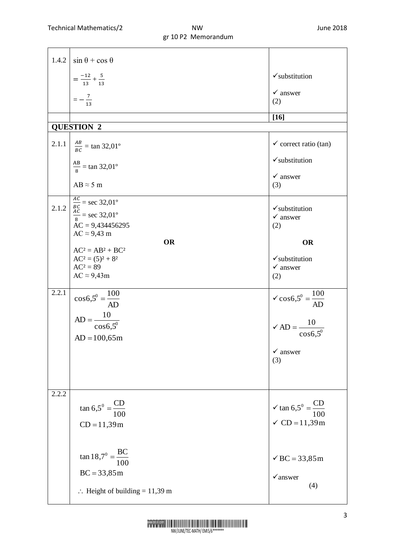|       | 1.4.2 $\sin \theta + \cos \theta$            |                                                                                         |
|-------|----------------------------------------------|-----------------------------------------------------------------------------------------|
|       | $=\frac{-12}{13}+\frac{5}{13}$               | $\checkmark$ substitution                                                               |
|       | $=-\frac{7}{13}$                             | $\checkmark$ answer                                                                     |
|       |                                              | (2)                                                                                     |
|       |                                              | $[16]$                                                                                  |
|       | <b>QUESTION 2</b>                            |                                                                                         |
|       | 2.1.1 $\frac{AB}{BC} = \tan 32.01^{\circ}$   | $\checkmark$ correct ratio (tan)                                                        |
|       | $\frac{AB}{8}$ = tan 32,01°                  | $\checkmark$ substitution                                                               |
|       | $AB \approx 5$ m                             | $\checkmark$ answer<br>(3)                                                              |
| 2.1.2 | $\frac{AC}{BC}$ = sec 32,01°                 | $\checkmark$ substitution                                                               |
|       | $\frac{AC}{8}$ = sec 32,01°                  | $\checkmark$ answer                                                                     |
|       | $AC = 9,434456295$<br>$AC \approx 9,43$ m    | (2)                                                                                     |
|       | <b>OR</b>                                    | <b>OR</b>                                                                               |
|       | $AC^2 = AB^2 + BC^2$<br>$AC^2 = (5)^2 + 8^2$ | $\checkmark$ substitution                                                               |
|       | $AC^2 = 89$                                  | $\checkmark$ answer                                                                     |
|       | $AC \approx 9,43m$                           | (2)                                                                                     |
| 2.2.1 | $\cos 6.5^{\circ} = \frac{100}{AD}$          | $\sqrt{\cos 6,5^{\circ}} = \frac{100}{AD}$                                              |
|       |                                              |                                                                                         |
|       | $AD = \frac{10}{\cos 6, 5^0}$                | $\angle AD = \frac{10}{\cos 6.5^\circ}$                                                 |
|       | $AD = 100,65m$                               |                                                                                         |
|       |                                              | $\checkmark$ answer                                                                     |
|       |                                              | (3)                                                                                     |
|       |                                              |                                                                                         |
| 2.2.2 |                                              |                                                                                         |
|       | $\tan 6.5^{\circ} = \frac{CD}{100}$          | $\checkmark$ tan 6,5 <sup>0</sup> = $\frac{\text{CD}}{100}$<br>$\checkmark$ CD = 11,39m |
|       | $CD = 11,39m$                                |                                                                                         |
|       |                                              |                                                                                         |
|       |                                              |                                                                                         |
|       | $\tan 18.7^\circ = \frac{BC}{100}$           | $\checkmark$ BC = 33,85 m                                                               |
|       | $BC = 33,85m$                                | $\checkmark$ answer                                                                     |
|       | $\therefore$ Height of building = 11,39 m    | (4)                                                                                     |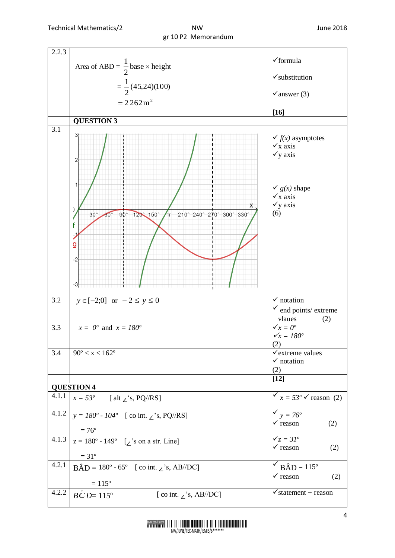| 2.2.3            |                                                                                                                      |                                                                                                                                                         |  |
|------------------|----------------------------------------------------------------------------------------------------------------------|---------------------------------------------------------------------------------------------------------------------------------------------------------|--|
|                  | Area of ABD = $\frac{1}{2}$ base × height                                                                            | $\checkmark$ formula                                                                                                                                    |  |
|                  |                                                                                                                      | $\checkmark$ substitution                                                                                                                               |  |
|                  | $=\frac{1}{2}(45,24)(100)$                                                                                           | $\checkmark$ answer (3)                                                                                                                                 |  |
|                  | $= 2262 m2$                                                                                                          |                                                                                                                                                         |  |
|                  |                                                                                                                      | $[16]$                                                                                                                                                  |  |
| 3.1              | <b>QUESTION 3</b>                                                                                                    |                                                                                                                                                         |  |
|                  | 2<br>х<br>C<br>210° 240° 270° 300° 330°<br>90° 120° 150°<br>$30^\circ$<br>$60^\circ$<br>$\mathbf{r}$<br>f<br>g<br>-2 | $\checkmark$ f(x) asymptotes<br>$\checkmark$ x axis<br>$\checkmark$ y axis<br>$\check{g}(x)$ shape<br>$\checkmark$ x axis<br>$\checkmark$ y axis<br>(6) |  |
|                  |                                                                                                                      |                                                                                                                                                         |  |
| $\overline{3.2}$ | $y \in [-2;0]$ or $-2 \le y \le 0$                                                                                   | $\sqrt{\ }$ notation                                                                                                                                    |  |
|                  |                                                                                                                      | $\checkmark$ end points/ extreme                                                                                                                        |  |
|                  |                                                                                                                      | vlaues<br>(2)                                                                                                                                           |  |
| 3.3              | $x = 0^{\circ}$ and $x = 180^{\circ}$                                                                                | $\sqrt{x} = 0^{\circ}$                                                                                                                                  |  |
|                  |                                                                                                                      | $\checkmark_x = 180^\circ$                                                                                                                              |  |
|                  |                                                                                                                      | (2)                                                                                                                                                     |  |
| 3.4              | $90^{\circ} < x < 162^{\circ}$                                                                                       | $\checkmark$ extreme values                                                                                                                             |  |
|                  |                                                                                                                      | $\checkmark$ notation                                                                                                                                   |  |
|                  |                                                                                                                      | (2)                                                                                                                                                     |  |
|                  |                                                                                                                      | $[12]$                                                                                                                                                  |  |
|                  | <b>QUESTION 4</b>                                                                                                    |                                                                                                                                                         |  |
| 4.1.1            | $x = 53^\circ$ [alt \[xetasisfsum single \text{ s, PQ//RS]                                                           | $\checkmark$ x = 53° $\checkmark$ reason (2)                                                                                                            |  |
| 4.1.2            | $y = 180^\circ - 104^\circ$ [co int. $\angle$ 's, PQ//RS]                                                            | $\checkmark$ y = 76 <sup>o</sup>                                                                                                                        |  |
|                  | $= 76^{\circ}$                                                                                                       | $\checkmark$ reason<br>(2)                                                                                                                              |  |
| 4.1.3            | $z = 180^{\circ} - 149^{\circ}$ [ $\angle$ 's on a str. Line]                                                        | $\sqrt{z} = 31^{\circ}$                                                                                                                                 |  |
|                  |                                                                                                                      | $\checkmark$ reason<br>(2)                                                                                                                              |  |
|                  | $=31^{\circ}$                                                                                                        |                                                                                                                                                         |  |
| 4.2.1            | $B\hat{A}D = 180^{\circ} - 65^{\circ}$ [co int. $\angle$ 's, AB//DC]                                                 | $\overrightarrow{BAD} = 115^\circ$                                                                                                                      |  |
|                  |                                                                                                                      | $\checkmark$ reason<br>(2)                                                                                                                              |  |
|                  | $= 115^{\circ}$                                                                                                      |                                                                                                                                                         |  |
| 4.2.2            | $\hat{BCD} = 115^{\circ}$<br>[co int. $\angle$ 's, AB//DC]                                                           | $\sqrt{\text{statement}} + \text{reason}$                                                                                                               |  |
|                  |                                                                                                                      |                                                                                                                                                         |  |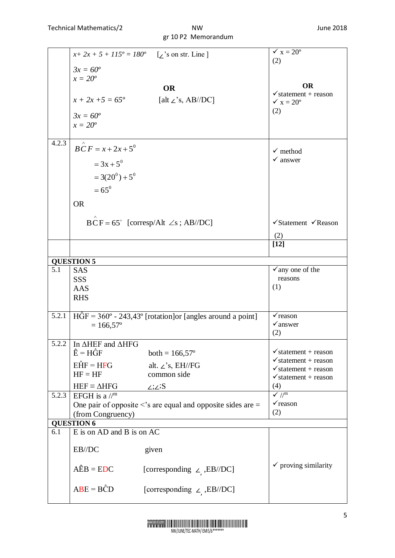### gr 10 P2 Memorandum

|       |                                                                     | $x+2x+5+115^{\circ} = 180^{\circ}$ [z's on str. Line]                            | $\checkmark$ x = 20 <sup>o</sup>           |  |  |
|-------|---------------------------------------------------------------------|----------------------------------------------------------------------------------|--------------------------------------------|--|--|
|       |                                                                     |                                                                                  | (2)                                        |  |  |
|       | $3x = 60^{\circ}$                                                   |                                                                                  |                                            |  |  |
|       | $x=20^o$                                                            | <b>OR</b>                                                                        | <b>OR</b>                                  |  |  |
|       |                                                                     |                                                                                  | $\checkmark$ statement + reason            |  |  |
|       | $x + 2x + 5 = 65^{\circ}$                                           | [alt $\angle$ 's, AB//DC]                                                        | $\times x = 20^{\circ}$                    |  |  |
|       | $3x = 60^{\circ}$                                                   |                                                                                  | (2)                                        |  |  |
|       | $x=20^o$                                                            |                                                                                  |                                            |  |  |
|       |                                                                     |                                                                                  |                                            |  |  |
| 4.2.3 | $BCF = x + 2x + 5^0$                                                |                                                                                  | $\checkmark$ method                        |  |  |
|       |                                                                     |                                                                                  | $\checkmark$ answer                        |  |  |
|       | $= 3x + 5^{0}$                                                      |                                                                                  |                                            |  |  |
|       | $=3(20^{0})+5^{0}$                                                  |                                                                                  |                                            |  |  |
|       | $= 65^0$                                                            |                                                                                  |                                            |  |  |
|       | <b>OR</b>                                                           |                                                                                  |                                            |  |  |
|       |                                                                     |                                                                                  |                                            |  |  |
|       |                                                                     | $BCF = 65^{\circ}$ [corresp/Alt $\angle$ s; AB//DC]                              | $\checkmark$ Statement $\checkmark$ Reason |  |  |
|       |                                                                     |                                                                                  | (2)                                        |  |  |
|       |                                                                     |                                                                                  | $[12]$                                     |  |  |
|       |                                                                     |                                                                                  |                                            |  |  |
|       | <b>QUESTION 5</b>                                                   |                                                                                  |                                            |  |  |
| 5.1   | <b>SAS</b><br><b>SSS</b>                                            |                                                                                  | $\checkmark$ any one of the<br>reasons     |  |  |
|       | AAS                                                                 |                                                                                  | (1)                                        |  |  |
|       | <b>RHS</b>                                                          |                                                                                  |                                            |  |  |
|       |                                                                     |                                                                                  |                                            |  |  |
| 5.2.1 |                                                                     | $H\hat{G}F = 360^{\circ} - 243,43^{\circ}$ [rotation] or [angles around a point] | $\checkmark$ reason                        |  |  |
|       | $= 166,57$ °                                                        |                                                                                  | $\sqrt{a}$ nswer                           |  |  |
|       |                                                                     |                                                                                  | (2)                                        |  |  |
| 5.2.2 | In $\triangle$ HEF and $\triangle$ HFG<br>$\hat{E} = H\hat{G}F$     | both = $166,57^{\circ}$                                                          | $\checkmark$ statement + reason            |  |  |
|       | $E\hat{H}F = HFG$                                                   |                                                                                  | $\checkmark$ statement + reason            |  |  |
|       | $HF = HF$                                                           | alt. $\angle$ 's, EH//FG<br>common side                                          | $\checkmark$ statement + reason            |  |  |
|       |                                                                     |                                                                                  | $\checkmark$ statement + reason            |  |  |
| 5.2.3 | $HEF \equiv \Delta HFG$<br>EFGH is a $\mathbb{R}^m$                 | $\angle;\angle$ :S                                                               | (4)<br>$\sqrt{7}$                          |  |  |
|       | One pair of opposite $\leq$ 's are equal and opposite sides are $=$ |                                                                                  | $\checkmark$ reason                        |  |  |
|       | (from Congruency)                                                   | (2)                                                                              |                                            |  |  |
|       | <b>QUESTION 6</b>                                                   |                                                                                  |                                            |  |  |
| 6.1   | E is on AD and B is on AC                                           |                                                                                  |                                            |  |  |
|       | EB//DC                                                              |                                                                                  |                                            |  |  |
|       |                                                                     | given                                                                            |                                            |  |  |
|       | $\angle AEB = EDC$                                                  | [corresponding $\angle$ , EB//DC]                                                | $\checkmark$ proving similarity            |  |  |
|       |                                                                     |                                                                                  |                                            |  |  |
|       | $ABE = B\hat{C}D$                                                   | [corresponding $\angle$ , EB//DC]                                                |                                            |  |  |
|       |                                                                     |                                                                                  |                                            |  |  |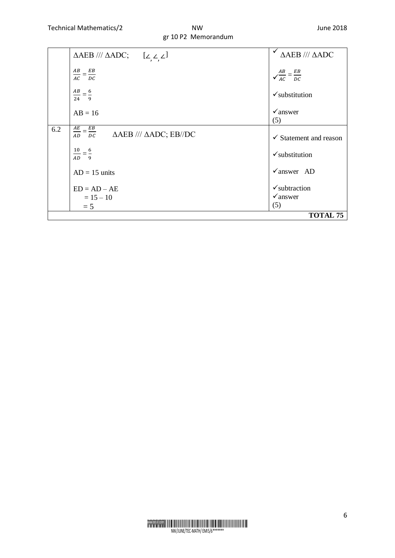## gr 10 P2 Memorandum

|     | $AB = 16$                                                                  | $\checkmark$ answer<br>(5)        |
|-----|----------------------------------------------------------------------------|-----------------------------------|
| 6.2 | $rac{AE}{AD} = \frac{EB}{DC}$ $\triangle AEB$ /// $\triangle ADC$ ; EB//DC | $\checkmark$ Statement and reason |
|     |                                                                            |                                   |
|     | $\frac{10}{AD} = \frac{6}{9}$                                              | $\checkmark$ substitution         |
|     | $AD = 15$ units                                                            | $\sqrt{a}$ nswer AD               |
|     | $ED = AD - AE$                                                             | $\checkmark$ subtraction          |
|     | $= 15 - 10$                                                                | $\checkmark$ answer               |
|     | $= 5$                                                                      | (5)                               |
|     |                                                                            | <b>TOTAL 75</b>                   |